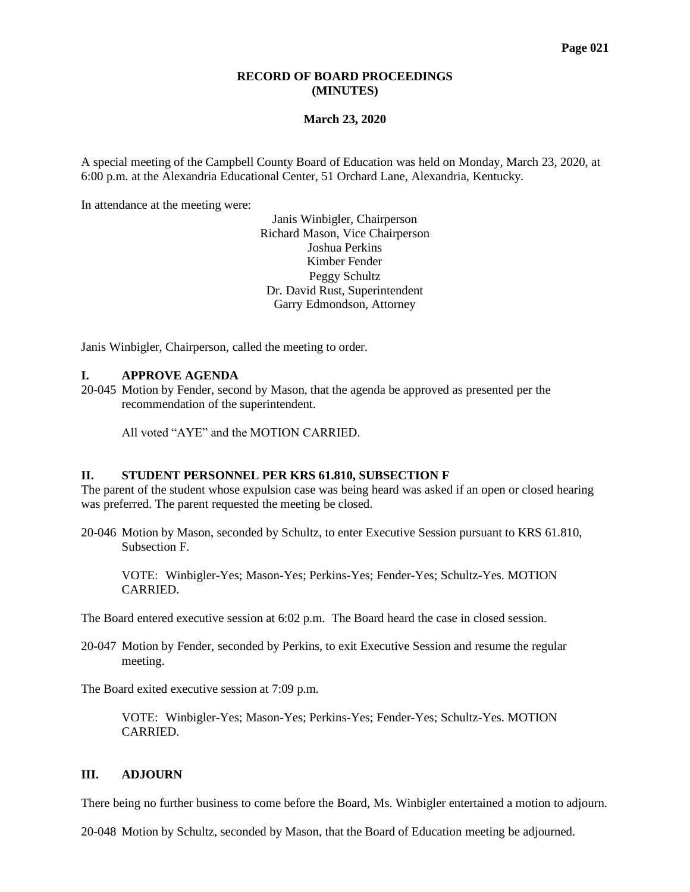# **RECORD OF BOARD PROCEEDINGS (MINUTES)**

### **March 23, 2020**

A special meeting of the Campbell County Board of Education was held on Monday, March 23, 2020, at 6:00 p.m. at the Alexandria Educational Center, 51 Orchard Lane, Alexandria, Kentucky.

In attendance at the meeting were:

Janis Winbigler, Chairperson Richard Mason, Vice Chairperson Joshua Perkins Kimber Fender Peggy Schultz Dr. David Rust, Superintendent Garry Edmondson, Attorney

Janis Winbigler, Chairperson, called the meeting to order.

#### **I. APPROVE AGENDA**

20-045 Motion by Fender, second by Mason, that the agenda be approved as presented per the recommendation of the superintendent.

All voted "AYE" and the MOTION CARRIED.

### **II. STUDENT PERSONNEL PER KRS 61.810, SUBSECTION F**

The parent of the student whose expulsion case was being heard was asked if an open or closed hearing was preferred. The parent requested the meeting be closed.

20-046 Motion by Mason, seconded by Schultz, to enter Executive Session pursuant to KRS 61.810, Subsection F.

VOTE: Winbigler-Yes; Mason-Yes; Perkins-Yes; Fender-Yes; Schultz-Yes. MOTION CARRIED.

The Board entered executive session at 6:02 p.m. The Board heard the case in closed session.

20-047 Motion by Fender, seconded by Perkins, to exit Executive Session and resume the regular meeting.

The Board exited executive session at 7:09 p.m.

VOTE: Winbigler-Yes; Mason-Yes; Perkins-Yes; Fender-Yes; Schultz-Yes. MOTION CARRIED.

## **III. ADJOURN**

There being no further business to come before the Board, Ms. Winbigler entertained a motion to adjourn.

20-048 Motion by Schultz, seconded by Mason, that the Board of Education meeting be adjourned.